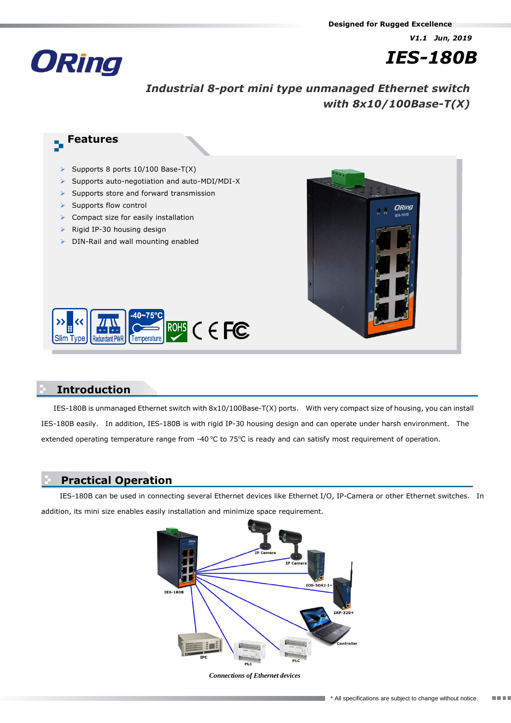*V1.1 Jun, 2019*



# *IES-180B*

## *Industrial 8-port mini type unmanaged Ethernet switch with 8x10/100Base-T(X)*

# **Features**

- Supports 8 ports  $10/100$  Base-T(X)
- $\triangleright$  Supports auto-negotiation and auto-MDI/MDI-X
- $\triangleright$  Supports store and forward transmission
- $\triangleright$  Supports flow control
- $\triangleright$  Compact size for easily installation
- $\triangleright$  Rigid IP-30 housing design
- $\triangleright$  DIN-Rail and wall mounting enabled





#### **Introduction**

IES-180B is unmanaged Ethernet switch with 8x10/100Base-T(X) ports. With very compact size of housing, you can install IES-180B easily. In addition, IES-180B is with rigid IP-30 housing design and can operate under harsh environment. The extended operating temperature range from -40  $\degree$ C to 75 $\degree$ C is ready and can satisfy most requirement of operation.

## **Practical Operation**

IES-180B can be used in connecting several Ethernet devices like Ethernet I/O, IP-Camera or other Ethernet switches. In addition, its mini size enables easily installation and minimize space requirement.



*Connections of Ethernet devices*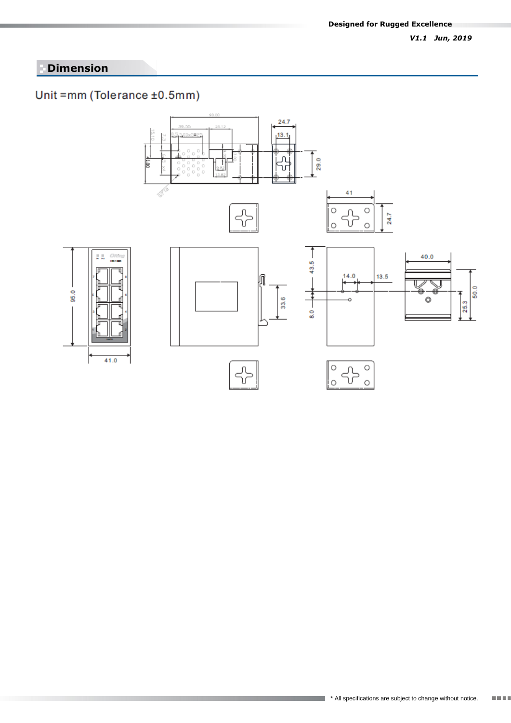#### *V1.1 Jun, 2019*

## **Dimension**

## Unit =mm (Tolerance ±0.5mm)

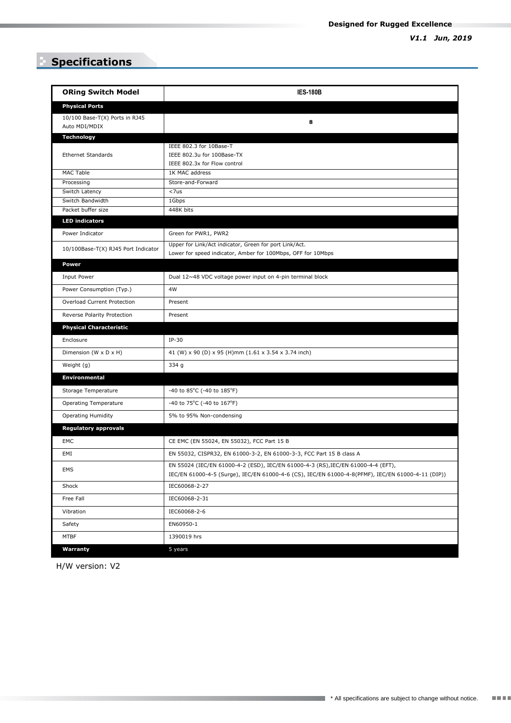## **Specifications**

| <b>ORing Switch Model</b>                       | <b>IES-180B</b>                                                                                                                                                                       |
|-------------------------------------------------|---------------------------------------------------------------------------------------------------------------------------------------------------------------------------------------|
| <b>Physical Ports</b>                           |                                                                                                                                                                                       |
| 10/100 Base-T(X) Ports in RJ45<br>Auto MDI/MDIX | 8                                                                                                                                                                                     |
| <b>Technology</b>                               |                                                                                                                                                                                       |
| <b>Ethernet Standards</b>                       | IEEE 802.3 for 10Base-T<br>IEEE 802.3u for 100Base-TX<br>IEEE 802.3x for Flow control                                                                                                 |
| MAC Table                                       | 1K MAC address                                                                                                                                                                        |
| Processing                                      | Store-and-Forward                                                                                                                                                                     |
| Switch Latency                                  | $<$ 7us                                                                                                                                                                               |
| Switch Bandwidth<br>Packet buffer size          | 1Gbps<br>448K bits                                                                                                                                                                    |
| <b>LED indicators</b>                           |                                                                                                                                                                                       |
|                                                 |                                                                                                                                                                                       |
| Power Indicator                                 | Green for PWR1, PWR2                                                                                                                                                                  |
| 10/100Base-T(X) RJ45 Port Indicator             | Upper for Link/Act indicator, Green for port Link/Act.<br>Lower for speed indicator, Amber for 100Mbps, OFF for 10Mbps                                                                |
| <b>Power</b>                                    |                                                                                                                                                                                       |
| Input Power                                     | Dual 12~48 VDC voltage power input on 4-pin terminal block                                                                                                                            |
| Power Consumption (Typ.)                        | 4W                                                                                                                                                                                    |
| Overload Current Protection                     | Present                                                                                                                                                                               |
| Reverse Polarity Protection                     | Present                                                                                                                                                                               |
| <b>Physical Characteristic</b>                  |                                                                                                                                                                                       |
| Enclosure                                       | $IP-30$                                                                                                                                                                               |
| Dimension (W x D x H)                           | 41 (W) x 90 (D) x 95 (H)mm (1.61 x 3.54 x 3.74 inch)                                                                                                                                  |
| Weight (g)                                      | 334 g                                                                                                                                                                                 |
| <b>Environmental</b>                            |                                                                                                                                                                                       |
| Storage Temperature                             | -40 to 85 $^{\circ}$ C (-40 to 185 $^{\circ}$ F)                                                                                                                                      |
| <b>Operating Temperature</b>                    | -40 to 75°C (-40 to 167°F)                                                                                                                                                            |
| <b>Operating Humidity</b>                       | 5% to 95% Non-condensing                                                                                                                                                              |
| <b>Regulatory approvals</b>                     |                                                                                                                                                                                       |
| EMC                                             | CE EMC (EN 55024, EN 55032), FCC Part 15 B                                                                                                                                            |
| EMI                                             | EN 55032, CISPR32, EN 61000-3-2, EN 61000-3-3, FCC Part 15 B class A                                                                                                                  |
| EMS                                             | EN 55024 (IEC/EN 61000-4-2 (ESD), IEC/EN 61000-4-3 (RS), IEC/EN 61000-4-4 (EFT),<br>IEC/EN 61000-4-5 (Surge), IEC/EN 61000-4-6 (CS), IEC/EN 61000-4-8(PFMF), IEC/EN 61000-4-11 (DIP)) |
| Shock                                           | IEC60068-2-27                                                                                                                                                                         |
| Free Fall                                       | IEC60068-2-31                                                                                                                                                                         |
| Vibration                                       | IEC60068-2-6                                                                                                                                                                          |
| Safety                                          | EN60950-1                                                                                                                                                                             |
| <b>MTBF</b>                                     | 1390019 hrs                                                                                                                                                                           |
| Warranty                                        | 5 years                                                                                                                                                                               |

H/W version: V2